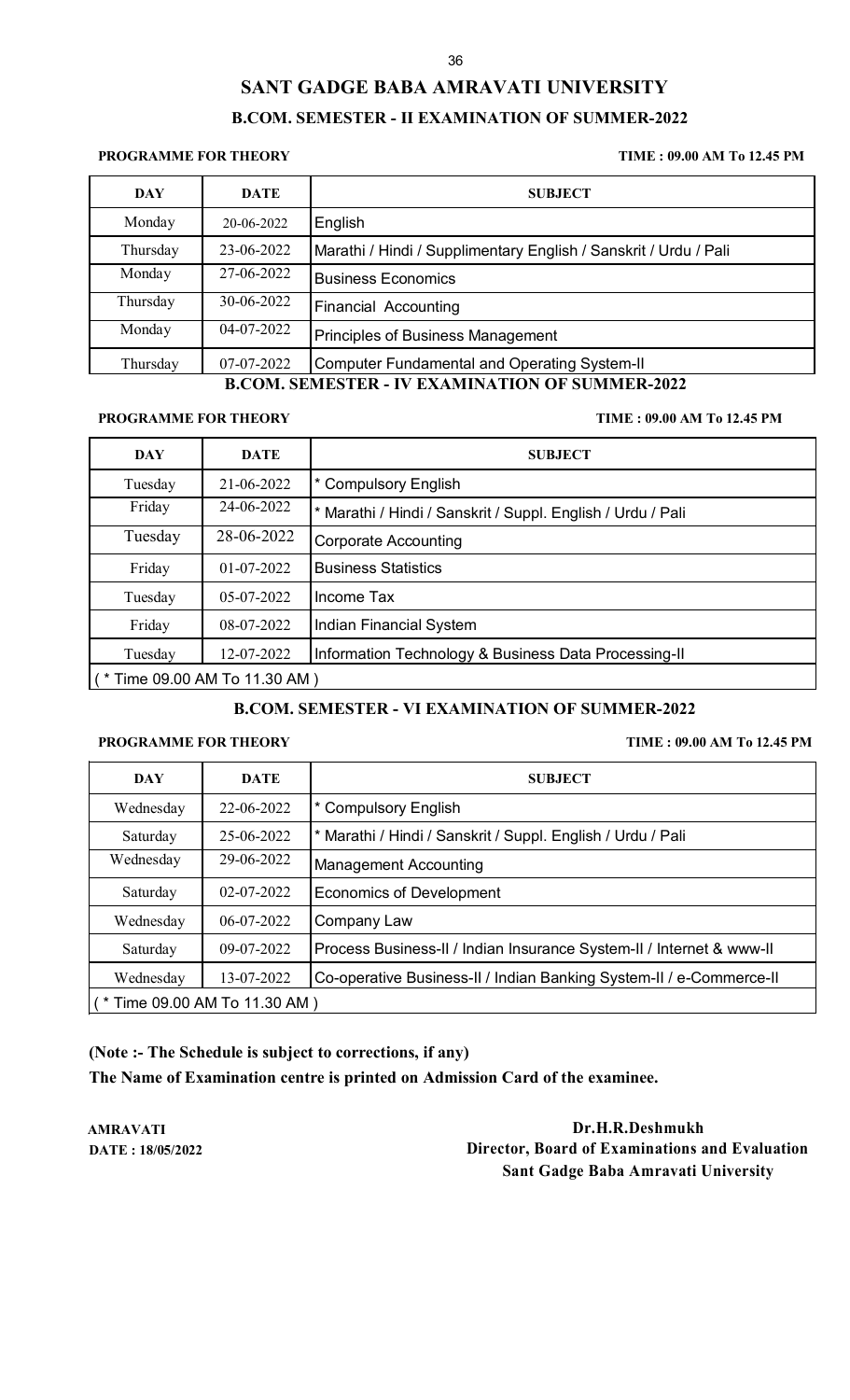# **SANT GADGE BABA AMRAVATI UNIVERSITY B.COM. SEMESTER - II EXAMINATION OF SUMMER-2022**

#### **PROGRAMME FOR THEORY TIME : 09.00 AM To 12.45 PM**

| DAY      | <b>DATE</b> | <b>SUBJECT</b>                                                   |
|----------|-------------|------------------------------------------------------------------|
| Monday   | 20-06-2022  | English                                                          |
| Thursday | 23-06-2022  | Marathi / Hindi / Supplimentary English / Sanskrit / Urdu / Pali |
| Monday   | 27-06-2022  | <b>Business Economics</b>                                        |
| Thursday | 30-06-2022  | <b>Financial Accounting</b>                                      |
| Monday   | 04-07-2022  | <b>Principles of Business Management</b>                         |
| Thursday | 07-07-2022  | Computer Fundamental and Operating System-II                     |

## **B.COM. SEMESTER - IV EXAMINATION OF SUMMER-2022**

#### **PROGRAMME FOR THEORY TIME : 09.00 AM To 12.45 PM**

| <b>DAY</b>                    | <b>DATE</b> | <b>SUBJECT</b>                                              |
|-------------------------------|-------------|-------------------------------------------------------------|
| Tuesday                       | 21-06-2022  | * Compulsory English                                        |
| Friday                        | 24-06-2022  | * Marathi / Hindi / Sanskrit / Suppl. English / Urdu / Pali |
| Tuesday                       | 28-06-2022  | <b>Corporate Accounting</b>                                 |
| Friday                        | 01-07-2022  | <b>Business Statistics</b>                                  |
| Tuesday                       | 05-07-2022  | Income Tax                                                  |
| Friday                        | 08-07-2022  | <b>Indian Financial System</b>                              |
| Tuesday                       | 12-07-2022  | Information Technology & Business Data Processing-II        |
| (* Time 09.00 AM To 11.30 AM) |             |                                                             |

### **B.COM. SEMESTER - VI EXAMINATION OF SUMMER-2022**

#### **PROGRAMME FOR THEORY TIME : 09.00 AM To 12.45 PM**

| DAY                                 | <b>DATE</b> | <b>SUBJECT</b>                                                       |
|-------------------------------------|-------------|----------------------------------------------------------------------|
| Wednesday                           | 22-06-2022  | <b>Compulsory English</b>                                            |
| Saturday                            | 25-06-2022  | * Marathi / Hindi / Sanskrit / Suppl. English / Urdu / Pali          |
| Wednesday                           | 29-06-2022  | <b>Management Accounting</b>                                         |
| Saturday                            | 02-07-2022  | Economics of Development                                             |
| Wednesday                           | 06-07-2022  | Company Law                                                          |
| Saturday                            | 09-07-2022  | Process Business-II / Indian Insurance System-II / Internet & www-II |
| Wednesday                           | 13-07-2022  | Co-operative Business-II / Indian Banking System-II / e-Commerce-II  |
| $($ * Time 09.00 AM To 11.30 AM $)$ |             |                                                                      |

**(Note :- The Schedule is subject to corrections, if any)**

**The Name of Examination centre is printed on Admission Card of the examinee.**

**AMRAVATI Dr.H.R.Deshmukh DATE : 18/05/2022 Director, Board of Examinations and Evaluation Sant Gadge Baba Amravati University**

#### 36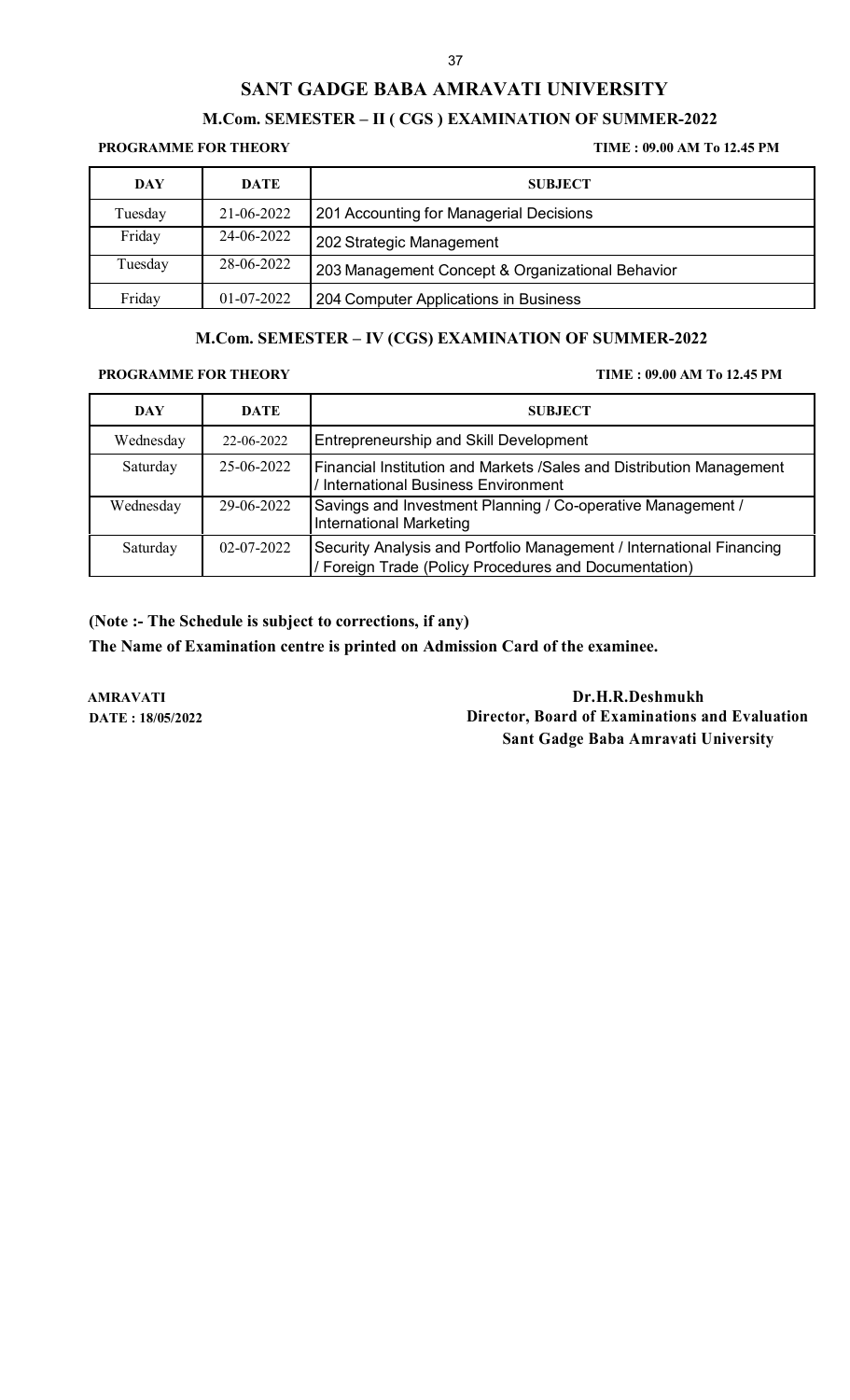# **M.Com. SEMESTER – II ( CGS ) EXAMINATION OF SUMMER-2022**

## **PROGRAMME FOR THEORY TIME : 09.00 AM To 12.45 PM**

| <b>DAY</b> | DATE         | <b>SUBJECT</b>                                   |
|------------|--------------|--------------------------------------------------|
| Tuesday    | 21-06-2022   | 201 Accounting for Managerial Decisions          |
| Friday     | 24-06-2022   | 202 Strategic Management                         |
| Tuesday    | 28-06-2022   | 203 Management Concept & Organizational Behavior |
| Friday     | $01-07-2022$ | 204 Computer Applications in Business            |

# **M.Com. SEMESTER – IV (CGS) EXAMINATION OF SUMMER-2022**

**PROGRAMME FOR THEORY TIME : 09.00 AM To 12.45 PM**

| DAY       | DATE       | <b>SUBJECT</b>                                                                                                                |
|-----------|------------|-------------------------------------------------------------------------------------------------------------------------------|
| Wednesday | 22-06-2022 | <b>Entrepreneurship and Skill Development</b>                                                                                 |
| Saturday  | 25-06-2022 | Financial Institution and Markets /Sales and Distribution Management<br>International Business Environment                    |
| Wednesday | 29-06-2022 | Savings and Investment Planning / Co-operative Management /<br><b>International Marketing</b>                                 |
| Saturday  | 02-07-2022 | Security Analysis and Portfolio Management / International Financing<br>/ Foreign Trade (Policy Procedures and Documentation) |

**(Note :- The Schedule is subject to corrections, if any)**

**The Name of Examination centre is printed on Admission Card of the examinee.**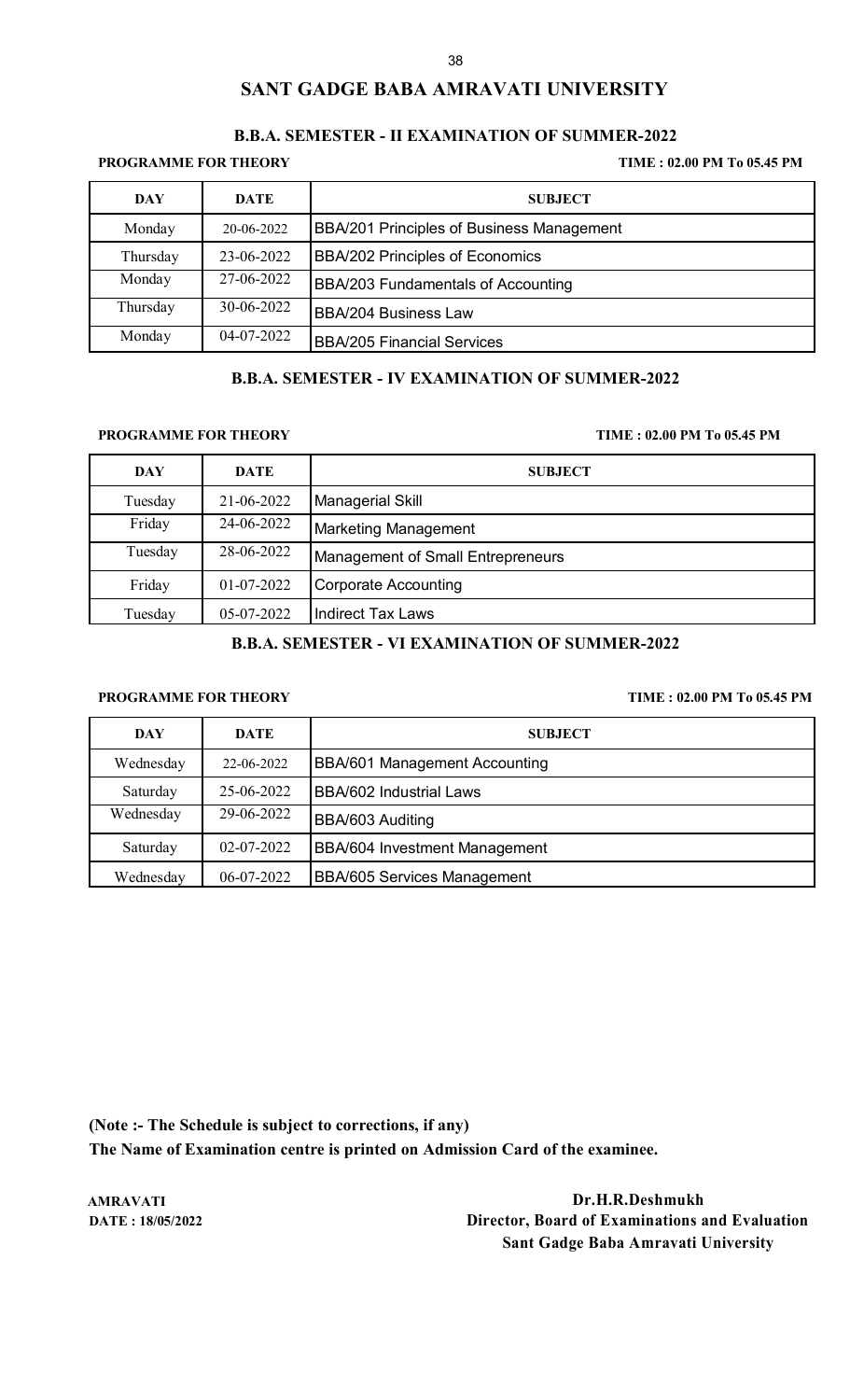## **B.B.A. SEMESTER - II EXAMINATION OF SUMMER-2022**

**PROGRAMME FOR THEORY TIME : 02.00 PM To 05.45 PM**

| DAY      | <b>DATE</b> | <b>SUBJECT</b>                            |
|----------|-------------|-------------------------------------------|
| Monday   | 20-06-2022  | BBA/201 Principles of Business Management |
| Thursday | 23-06-2022  | <b>BBA/202 Principles of Economics</b>    |
| Monday   | 27-06-2022  | BBA/203 Fundamentals of Accounting        |
| Thursday | 30-06-2022  | <b>BBA/204 Business Law</b>               |
| Monday   | 04-07-2022  | <b>BBA/205 Financial Services</b>         |

### **B.B.A. SEMESTER - IV EXAMINATION OF SUMMER-2022**

**PROGRAMME FOR THEORY TIME : 02.00 PM To 05.45 PM**

| <b>DAY</b> | <b>DATE</b>  | <b>SUBJECT</b>                           |
|------------|--------------|------------------------------------------|
| Tuesday    | 21-06-2022   | <b>Managerial Skill</b>                  |
| Friday     | 24-06-2022   | Marketing Management                     |
| Tuesday    | 28-06-2022   | <b>Management of Small Entrepreneurs</b> |
| Friday     | $01-07-2022$ | <b>Corporate Accounting</b>              |
| Tuesday    | 05-07-2022   | <b>Indirect Tax Laws</b>                 |

## **B.B.A. SEMESTER - VI EXAMINATION OF SUMMER-2022**

## **PROGRAMME FOR THEORY TIME : 02.00 PM To 05.45 PM**

| DAY       | <b>DATE</b>      | <b>SUBJECT</b>                       |
|-----------|------------------|--------------------------------------|
| Wednesday | 22-06-2022       | <b>BBA/601 Management Accounting</b> |
| Saturday  | 25-06-2022       | BBA/602 Industrial Laws              |
| Wednesday | 29-06-2022       | BBA/603 Auditing                     |
| Saturday  | $02 - 07 - 2022$ | <b>BBA/604 Investment Management</b> |
| Wednesday | 06-07-2022       | <b>BBA/605 Services Management</b>   |

**(Note :- The Schedule is subject to corrections, if any)**

**The Name of Examination centre is printed on Admission Card of the examinee.**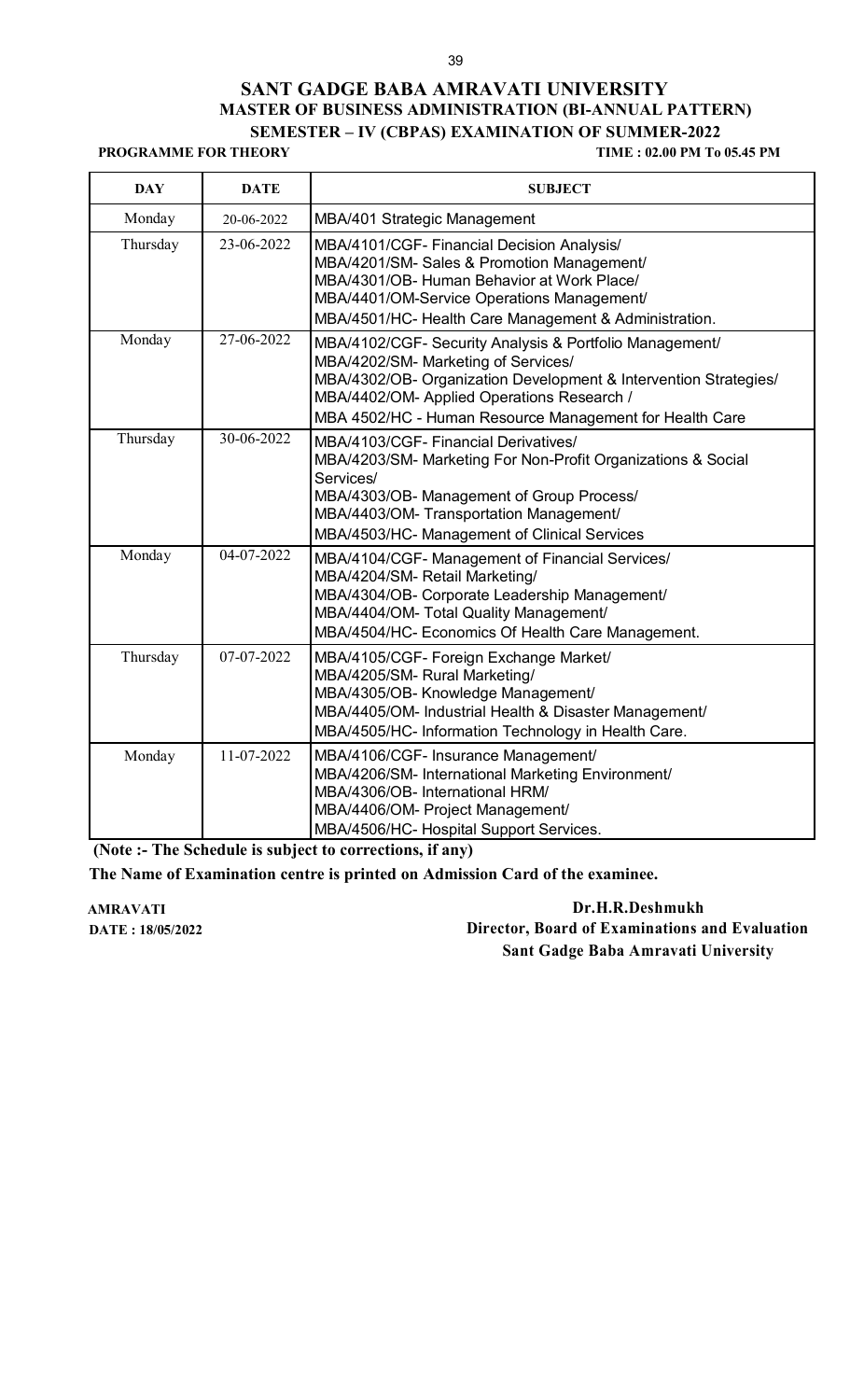## **SANT GADGE BABA AMRAVATI UNIVERSITY MASTER OF BUSINESS ADMINISTRATION (BI-ANNUAL PATTERN) SEMESTER – IV (CBPAS) EXAMINATION OF SUMMER-2022**

**PROGRAMME FOR THEORY TIME : 02.00 PM To 05.45 PM**

| <b>DAY</b> | <b>DATE</b> | <b>SUBJECT</b>                                                                                                                                                                                                                                                              |
|------------|-------------|-----------------------------------------------------------------------------------------------------------------------------------------------------------------------------------------------------------------------------------------------------------------------------|
| Monday     | 20-06-2022  | MBA/401 Strategic Management                                                                                                                                                                                                                                                |
| Thursday   | 23-06-2022  | MBA/4101/CGF- Financial Decision Analysis/<br>MBA/4201/SM- Sales & Promotion Management/<br>MBA/4301/OB- Human Behavior at Work Place/<br>MBA/4401/OM-Service Operations Management/<br>MBA/4501/HC- Health Care Management & Administration.                               |
| Monday     | 27-06-2022  | MBA/4102/CGF- Security Analysis & Portfolio Management/<br>MBA/4202/SM- Marketing of Services/<br>MBA/4302/OB- Organization Development & Intervention Strategies/<br>MBA/4402/OM- Applied Operations Research /<br>MBA 4502/HC - Human Resource Management for Health Care |
| Thursday   | 30-06-2022  | MBA/4103/CGF- Financial Derivatives/<br>MBA/4203/SM- Marketing For Non-Profit Organizations & Social<br>Services/<br>MBA/4303/OB- Management of Group Process/<br>MBA/4403/OM-Transportation Management/<br>MBA/4503/HC- Management of Clinical Services                    |
| Monday     | 04-07-2022  | MBA/4104/CGF- Management of Financial Services/<br>MBA/4204/SM- Retail Marketing/<br>MBA/4304/OB- Corporate Leadership Management/<br>MBA/4404/OM- Total Quality Management/<br>MBA/4504/HC- Economics Of Health Care Management.                                           |
| Thursday   | 07-07-2022  | MBA/4105/CGF- Foreign Exchange Market/<br>MBA/4205/SM-Rural Marketing/<br>MBA/4305/OB- Knowledge Management/<br>MBA/4405/OM- Industrial Health & Disaster Management/<br>MBA/4505/HC- Information Technology in Health Care.                                                |
| Monday     | 11-07-2022  | MBA/4106/CGF- Insurance Management/<br>MBA/4206/SM- International Marketing Environment/<br>MBA/4306/OB- International HRM/<br>MBA/4406/OM- Project Management/<br>MBA/4506/HC- Hospital Support Services.                                                                  |

**(Note :- The Schedule is subject to corrections, if any)**

**The Name of Examination centre is printed on Admission Card of the examinee.**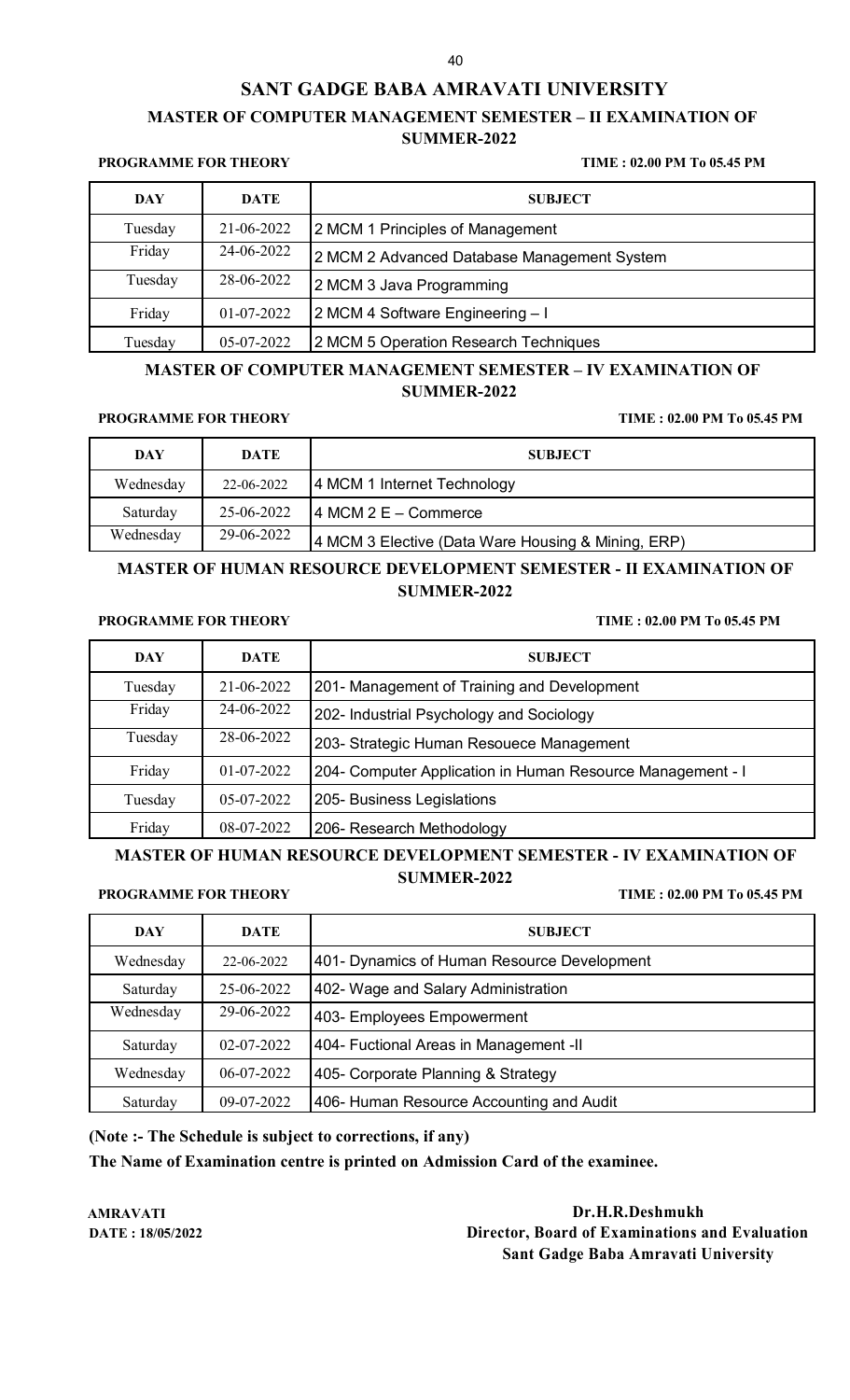# **SANT GADGE BABA AMRAVATI UNIVERSITY MASTER OF COMPUTER MANAGEMENT SEMESTER – II EXAMINATION OF SUMMER-2022**

#### **PROGRAMME FOR THEORY TIME : 02.00 PM To 05.45 PM**

| DAY     | <b>DATE</b> | <b>SUBJECT</b>                              |
|---------|-------------|---------------------------------------------|
| Tuesday | 21-06-2022  | 2 MCM 1 Principles of Management            |
| Friday  | 24-06-2022  | 2 MCM 2 Advanced Database Management System |
| Tuesday | 28-06-2022  | 2 MCM 3 Java Programming                    |
| Friday  | 01-07-2022  | 2 MCM 4 Software Engineering - I            |
| Tuesday | 05-07-2022  | 2 MCM 5 Operation Research Techniques       |

## **MASTER OF COMPUTER MANAGEMENT SEMESTER – IV EXAMINATION OF SUMMER-2022**

## **PROGRAMME FOR THEORY TIME : 02.00 PM To 05.45 PM**

| <b>DAY</b> | DATE       | <b>SUBJECT</b>                                     |
|------------|------------|----------------------------------------------------|
| Wednesday  | 22-06-2022 | 4 MCM 1 Internet Technology                        |
| Saturday   | 25-06-2022 | $ 4 \text{ MCM } 2 \text{ E} - \text{Commerce} $   |
| Wednesday  | 29-06-2022 | 4 MCM 3 Elective (Data Ware Housing & Mining, ERP) |

## **MASTER OF HUMAN RESOURCE DEVELOPMENT SEMESTER - II EXAMINATION OF SUMMER-2022**

#### **PROGRAMME FOR THEORY TIME : 02.00 PM To 05.45 PM**

| <b>DAY</b> | <b>DATE</b> | <b>SUBJECT</b>                                             |
|------------|-------------|------------------------------------------------------------|
| Tuesday    | 21-06-2022  | 201- Management of Training and Development                |
| Friday     | 24-06-2022  | 202- Industrial Psychology and Sociology                   |
| Tuesday    | 28-06-2022  | 203- Strategic Human Resouece Management                   |
| Friday     | 01-07-2022  | 204- Computer Application in Human Resource Management - I |
| Tuesday    | 05-07-2022  | 205- Business Legislations                                 |
| Friday     | 08-07-2022  | 206- Research Methodology                                  |

## **MASTER OF HUMAN RESOURCE DEVELOPMENT SEMESTER - IV EXAMINATION OF SUMMER-2022**

#### **PROGRAMME FOR THEORY TIME : 02.00 PM To 05.45 PM**

| DAY       | <b>DATE</b>      | <b>SUBJECT</b>                              |
|-----------|------------------|---------------------------------------------|
| Wednesday | 22-06-2022       | 401- Dynamics of Human Resource Development |
| Saturday  | 25-06-2022       | 402- Wage and Salary Administration         |
| Wednesday | 29-06-2022       | 403- Employees Empowerment                  |
| Saturday  | $02 - 07 - 2022$ | 404- Fuctional Areas in Management - II     |
| Wednesday | 06-07-2022       | 405- Corporate Planning & Strategy          |
| Saturday  | 09-07-2022       | 406- Human Resource Accounting and Audit    |

### **(Note :- The Schedule is subject to corrections, if any)**

**The Name of Examination centre is printed on Admission Card of the examinee.**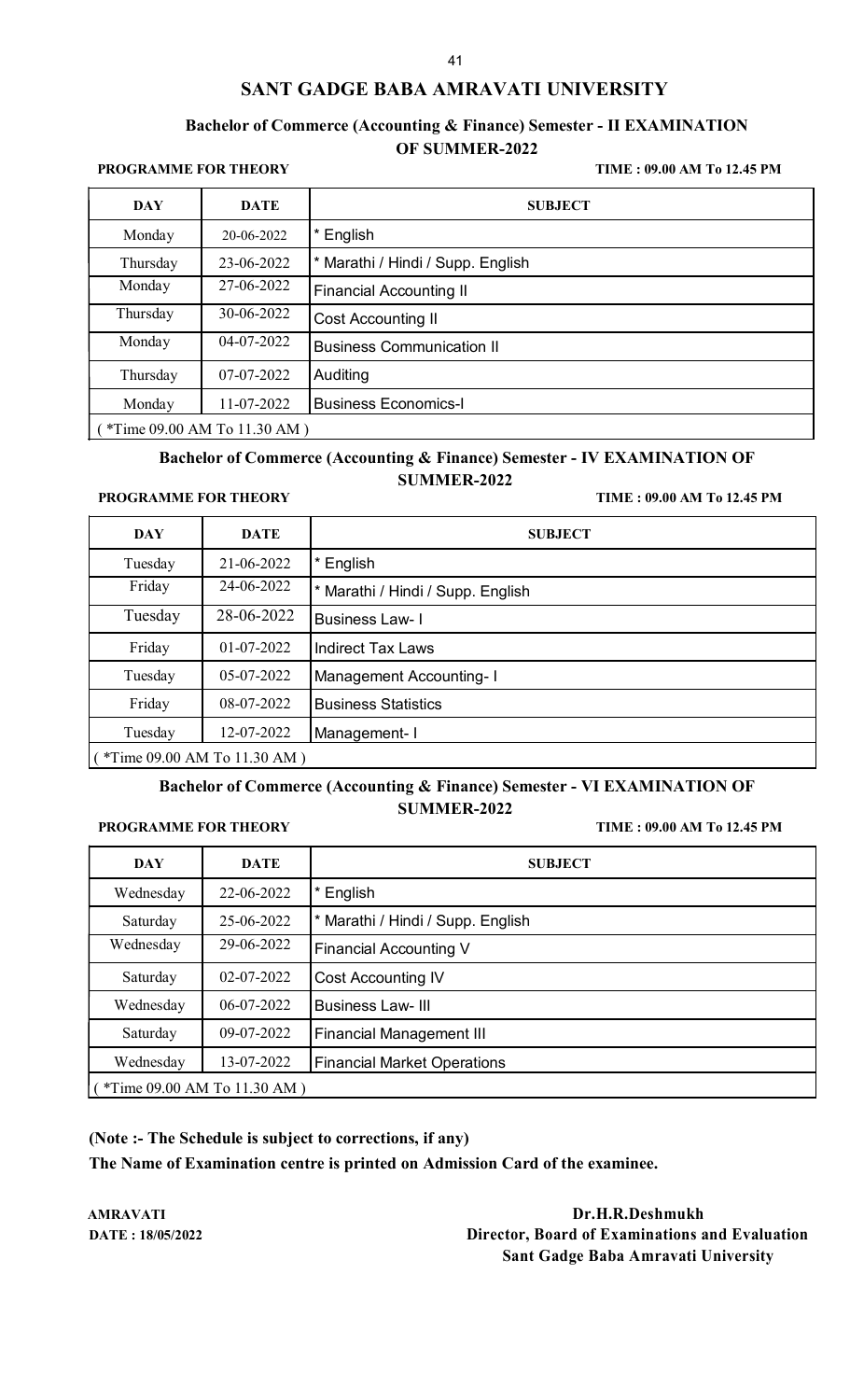## **Bachelor of Commerce (Accounting & Finance) Semester - II EXAMINATION OF SUMMER-2022**

**PROGRAMME FOR THEORY TIME : 09.00 AM To 12.45 PM**

| <b>DAY</b>                    | <b>DATE</b> | <b>SUBJECT</b>                    |  |
|-------------------------------|-------------|-----------------------------------|--|
| Monday                        | 20-06-2022  | English                           |  |
| Thursday                      | 23-06-2022  | * Marathi / Hindi / Supp. English |  |
| Monday                        | 27-06-2022  | <b>Financial Accounting II</b>    |  |
| Thursday                      | 30-06-2022  | <b>Cost Accounting II</b>         |  |
| Monday                        | 04-07-2022  | <b>Business Communication II</b>  |  |
| Thursday                      | 07-07-2022  | Auditing                          |  |
| Monday                        | 11-07-2022  | <b>Business Economics-I</b>       |  |
| $*Time 09.00 AM To 11.30 AM)$ |             |                                   |  |

### **Bachelor of Commerce (Accounting & Finance) Semester - IV EXAMINATION OF SUMMER-2022**

#### **PROGRAMME FOR THEORY TIME : 09.00 AM To 12.45 PM**

| <b>DAY</b>                   | <b>DATE</b> | <b>SUBJECT</b>                    |
|------------------------------|-------------|-----------------------------------|
| Tuesday                      | 21-06-2022  | English                           |
| Friday                       | 24-06-2022  | * Marathi / Hindi / Supp. English |
| Tuesday                      | 28-06-2022  | <b>Business Law-1</b>             |
| Friday                       | 01-07-2022  | <b>Indirect Tax Laws</b>          |
| Tuesday                      | 05-07-2022  | <b>Management Accounting-1</b>    |
| Friday                       | 08-07-2022  | <b>Business Statistics</b>        |
| Tuesday                      | 12-07-2022  | Management-I                      |
| (*Time 09.00 AM To 11.30 AM) |             |                                   |

### **Bachelor of Commerce (Accounting & Finance) Semester - VI EXAMINATION OF SUMMER-2022**

**PROGRAMME FOR THEORY TIME : 09.00 AM To 12.45 PM**

| DAY                            | <b>DATE</b> | <b>SUBJECT</b>                     |
|--------------------------------|-------------|------------------------------------|
| Wednesday                      | 22-06-2022  | English                            |
| Saturday                       | 25-06-2022  | * Marathi / Hindi / Supp. English  |
| Wednesday                      | 29-06-2022  | <b>Financial Accounting V</b>      |
| Saturday                       | 02-07-2022  | <b>Cost Accounting IV</b>          |
| Wednesday                      | 06-07-2022  | <b>Business Law-III</b>            |
| Saturday                       | 09-07-2022  | <b>Financial Management III</b>    |
| Wednesday                      | 13-07-2022  | <b>Financial Market Operations</b> |
| $(*Time 09.00 AM To 11.30 AM)$ |             |                                    |

## **(Note :- The Schedule is subject to corrections, if any)**

**The Name of Examination centre is printed on Admission Card of the examinee.**

AMRAVATI **Dr.H.R.Deshmukh**<br>
Date : 18/05/2022 **Director, Board of Examinations a Director, Board of Examinations and Evaluation Sant Gadge Baba Amravati University**